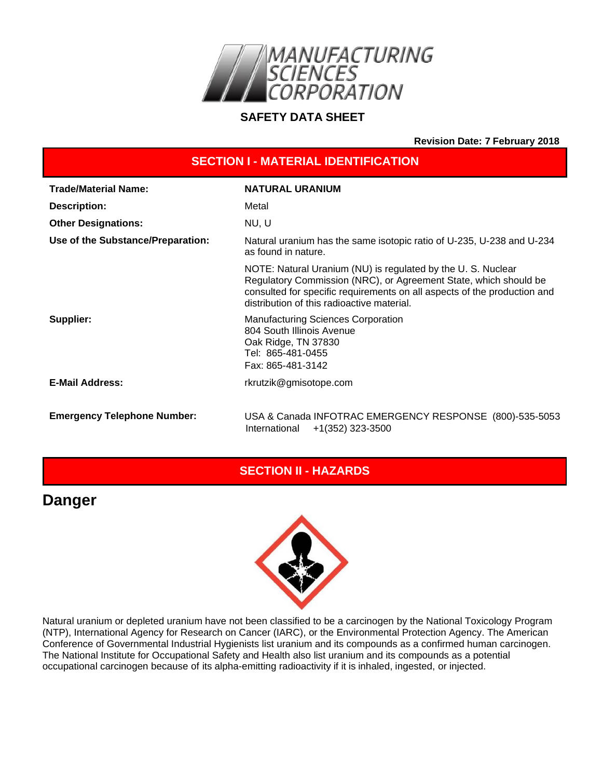

#### **SAFETY DATA SHEET**

**Revision Date: 7 February 2018**

| <b>SECTION I - MATERIAL IDENTIFICATION</b> |                                                                                                                                                                                                                                                           |  |
|--------------------------------------------|-----------------------------------------------------------------------------------------------------------------------------------------------------------------------------------------------------------------------------------------------------------|--|
| <b>Trade/Material Name:</b>                | <b>NATURAL URANIUM</b>                                                                                                                                                                                                                                    |  |
| <b>Description:</b>                        | Metal                                                                                                                                                                                                                                                     |  |
| <b>Other Designations:</b>                 | NU, U                                                                                                                                                                                                                                                     |  |
| Use of the Substance/Preparation:          | Natural uranium has the same isotopic ratio of U-235, U-238 and U-234<br>as found in nature.                                                                                                                                                              |  |
|                                            | NOTE: Natural Uranium (NU) is regulated by the U.S. Nuclear<br>Regulatory Commission (NRC), or Agreement State, which should be<br>consulted for specific requirements on all aspects of the production and<br>distribution of this radioactive material. |  |
| Supplier:                                  | <b>Manufacturing Sciences Corporation</b><br>804 South Illinois Avenue<br>Oak Ridge, TN 37830<br>Tel: 865-481-0455<br>Fax: 865-481-3142                                                                                                                   |  |
| <b>E-Mail Address:</b>                     | rkrutzik@gmisotope.com                                                                                                                                                                                                                                    |  |
| <b>Emergency Telephone Number:</b>         | USA & Canada INFOTRAC EMERGENCY RESPONSE (800)-535-5053<br>International<br>+1(352) 323-3500                                                                                                                                                              |  |

# **SECTION II - HAZARDS**

# **Danger**



Natural uranium or depleted uranium have not been classified to be a carcinogen by the National Toxicology Program (NTP), International Agency for Research on Cancer (IARC), or the Environmental Protection Agency. The American Conference of Governmental Industrial Hygienists list uranium and its compounds as a confirmed human carcinogen. The National Institute for Occupational Safety and Health also list uranium and its compounds as a potential occupational carcinogen because of its alpha-emitting radioactivity if it is inhaled, ingested, or injected.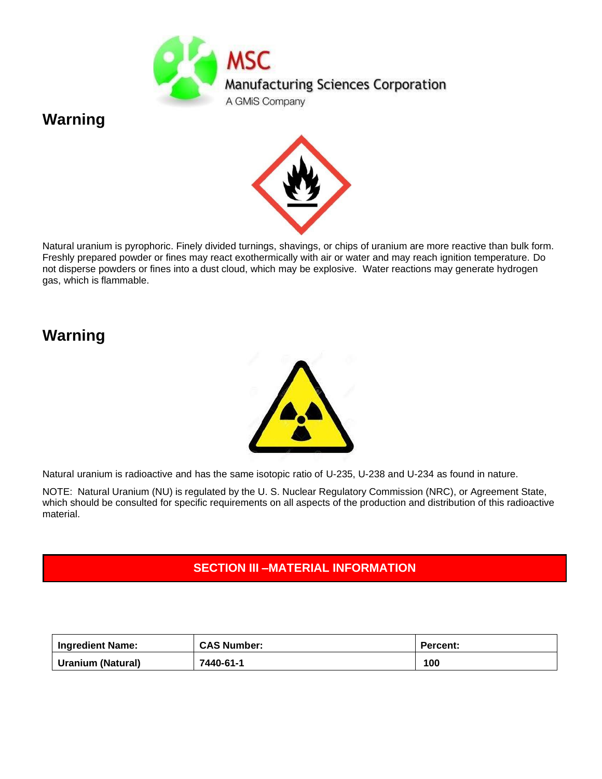

# **Warning**



Natural uranium is pyrophoric. Finely divided turnings, shavings, or chips of uranium are more reactive than bulk form. Freshly prepared powder or fines may react exothermically with air or water and may reach ignition temperature. Do not disperse powders or fines into a dust cloud, which may be explosive. Water reactions may generate hydrogen gas, which is flammable.

# **Warning**



Natural uranium is radioactive and has the same isotopic ratio of U-235, U-238 and U-234 as found in nature.

NOTE: Natural Uranium (NU) is regulated by the U. S. Nuclear Regulatory Commission (NRC), or Agreement State, which should be consulted for specific requirements on all aspects of the production and distribution of this radioactive material.

# **SECTION III –MATERIAL INFORMATION**

| <b>Ingredient Name:</b>  | <b>CAS Number:</b> | <b>Percent:</b> |
|--------------------------|--------------------|-----------------|
| <b>Uranium (Natural)</b> | 7440-61-1          | 100             |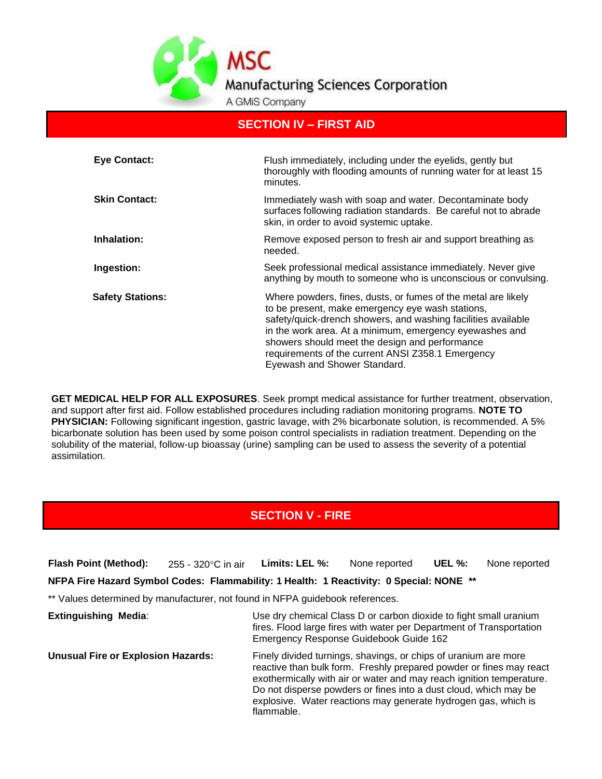

#### **SECTION IV – FIRST AID**

| <b>Eye Contact:</b>     | Flush immediately, including under the eyelids, gently but<br>thoroughly with flooding amounts of running water for at least 15<br>minutes.                                                                                                                                                                                                                                          |
|-------------------------|--------------------------------------------------------------------------------------------------------------------------------------------------------------------------------------------------------------------------------------------------------------------------------------------------------------------------------------------------------------------------------------|
| <b>Skin Contact:</b>    | Immediately wash with soap and water. Decontaminate body<br>surfaces following radiation standards. Be careful not to abrade<br>skin, in order to avoid systemic uptake.                                                                                                                                                                                                             |
| Inhalation:             | Remove exposed person to fresh air and support breathing as<br>needed.                                                                                                                                                                                                                                                                                                               |
| Ingestion:              | Seek professional medical assistance immediately. Never give<br>anything by mouth to someone who is unconscious or convulsing.                                                                                                                                                                                                                                                       |
| <b>Safety Stations:</b> | Where powders, fines, dusts, or fumes of the metal are likely<br>to be present, make emergency eye wash stations,<br>safety/quick-drench showers, and washing facilities available<br>in the work area. At a minimum, emergency eyewashes and<br>showers should meet the design and performance<br>requirements of the current ANSI Z358.1 Emergency<br>Eyewash and Shower Standard. |

**GET MEDICAL HELP FOR ALL EXPOSURES**. Seek prompt medical assistance for further treatment, observation, and support after first aid. Follow established procedures including radiation monitoring programs. **NOTE TO PHYSICIAN:** Following significant ingestion, gastric lavage, with 2% bicarbonate solution, is recommended. A 5% bicarbonate solution has been used by some poison control specialists in radiation treatment. Depending on the solubility of the material, follow-up bioassay (urine) sampling can be used to assess the severity of a potential assimilation.

# **SECTION V - FIRE**

**Flash Point (Method):** 255 - 320°C in air Limits: LEL %: None reported UEL %: None reported **NFPA Fire Hazard Symbol Codes: Flammability: 1 Health: 1 Reactivity: 0 Special: NONE \*\***

\*\* Values determined by manufacturer, not found in NFPA guidebook references.

| <b>Extinguishing Media:</b>               | Use dry chemical Class D or carbon dioxide to fight small uranium<br>fires. Flood large fires with water per Department of Transportation<br>Emergency Response Guidebook Guide 162                                                                                                                                                                                |
|-------------------------------------------|--------------------------------------------------------------------------------------------------------------------------------------------------------------------------------------------------------------------------------------------------------------------------------------------------------------------------------------------------------------------|
| <b>Unusual Fire or Explosion Hazards:</b> | Finely divided turnings, shavings, or chips of uranium are more<br>reactive than bulk form. Freshly prepared powder or fines may react<br>exothermically with air or water and may reach ignition temperature.<br>Do not disperse powders or fines into a dust cloud, which may be<br>explosive. Water reactions may generate hydrogen gas, which is<br>flammable. |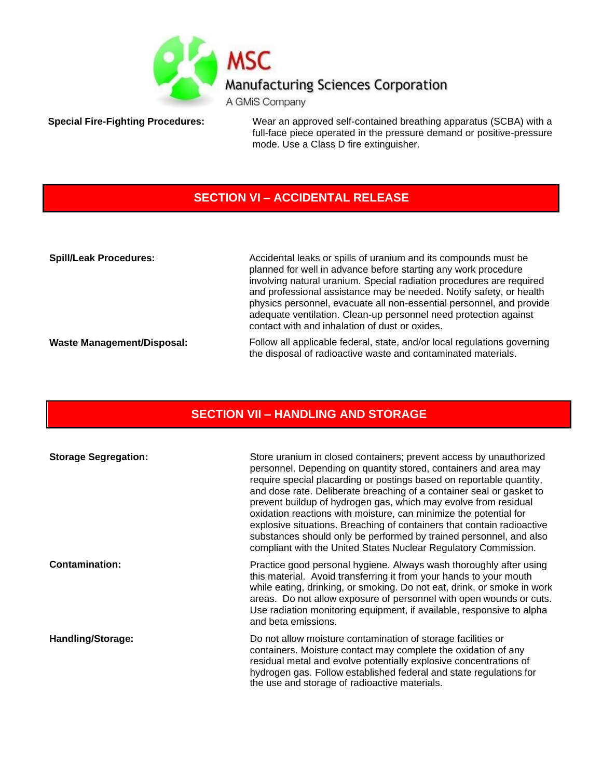

**Special Fire-Fighting Procedures:** Wear an approved self-contained breathing apparatus (SCBA) with a full-face piece operated in the pressure demand or positive-pressure mode. Use a Class D fire extinguisher.

# **SECTION VI – ACCIDENTAL RELEASE**

| <b>Spill/Leak Procedures:</b>     | Accidental leaks or spills of uranium and its compounds must be<br>planned for well in advance before starting any work procedure<br>involving natural uranium. Special radiation procedures are required<br>and professional assistance may be needed. Notify safety, or health<br>physics personnel, evacuate all non-essential personnel, and provide<br>adequate ventilation. Clean-up personnel need protection against<br>contact with and inhalation of dust or oxides. |
|-----------------------------------|--------------------------------------------------------------------------------------------------------------------------------------------------------------------------------------------------------------------------------------------------------------------------------------------------------------------------------------------------------------------------------------------------------------------------------------------------------------------------------|
| <b>Waste Management/Disposal:</b> | Follow all applicable federal, state, and/or local regulations governing<br>the disposal of radioactive waste and contaminated materials.                                                                                                                                                                                                                                                                                                                                      |

# **SECTION VII – HANDLING AND STORAGE**

| <b>Storage Segregation:</b> | Store uranium in closed containers; prevent access by unauthorized<br>personnel. Depending on quantity stored, containers and area may<br>require special placarding or postings based on reportable quantity,<br>and dose rate. Deliberate breaching of a container seal or gasket to<br>prevent buildup of hydrogen gas, which may evolve from residual<br>oxidation reactions with moisture, can minimize the potential for<br>explosive situations. Breaching of containers that contain radioactive<br>substances should only be performed by trained personnel, and also<br>compliant with the United States Nuclear Regulatory Commission. |
|-----------------------------|---------------------------------------------------------------------------------------------------------------------------------------------------------------------------------------------------------------------------------------------------------------------------------------------------------------------------------------------------------------------------------------------------------------------------------------------------------------------------------------------------------------------------------------------------------------------------------------------------------------------------------------------------|
| <b>Contamination:</b>       | Practice good personal hygiene. Always wash thoroughly after using<br>this material. Avoid transferring it from your hands to your mouth<br>while eating, drinking, or smoking. Do not eat, drink, or smoke in work<br>areas. Do not allow exposure of personnel with open wounds or cuts.<br>Use radiation monitoring equipment, if available, responsive to alpha<br>and beta emissions.                                                                                                                                                                                                                                                        |
| <b>Handling/Storage:</b>    | Do not allow moisture contamination of storage facilities or<br>containers. Moisture contact may complete the oxidation of any<br>residual metal and evolve potentially explosive concentrations of<br>hydrogen gas. Follow established federal and state regulations for<br>the use and storage of radioactive materials.                                                                                                                                                                                                                                                                                                                        |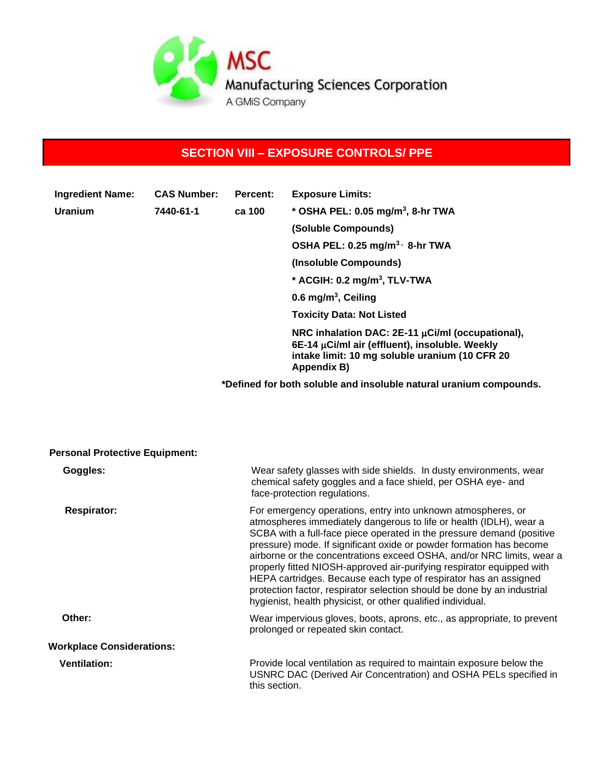

# **SECTION VIII – EXPOSURE CONTROLS/ PPE**

| <b>Ingredient Name:</b> | <b>CAS Number:</b> | Percent: | <b>Exposure Limits:</b>                                                                                                                                                       |
|-------------------------|--------------------|----------|-------------------------------------------------------------------------------------------------------------------------------------------------------------------------------|
| <b>Uranium</b>          | 7440-61-1          | ca 100   | * OSHA PEL: 0.05 mg/m <sup>3</sup> , 8-hr TWA                                                                                                                                 |
|                         |                    |          | (Soluble Compounds)                                                                                                                                                           |
|                         |                    |          | OSHA PEL: 0.25 mg/m <sup>3,</sup> 8-hr TWA                                                                                                                                    |
|                         |                    |          | (Insoluble Compounds)                                                                                                                                                         |
|                         |                    |          | * ACGIH: $0.2 \text{ mg/m}^3$ , TLV-TWA                                                                                                                                       |
|                         |                    |          | 0.6 mg/m <sup>3</sup> , Ceiling                                                                                                                                               |
|                         |                    |          | <b>Toxicity Data: Not Listed</b>                                                                                                                                              |
|                         |                    |          | NRC inhalation DAC: $2E-11 \mu$ Ci/ml (occupational),<br>6E-14 $\mu$ Ci/ml air (effluent), insoluble. Weekly<br>intake limit: 10 mg soluble uranium (10 CFR 20<br>Appendix B) |

**\*Defined for both soluble and insoluble natural uranium compounds.**

| <b>Personal Protective Equipment:</b> |                                                                                                                                                                                                                                                                                                                                                                                                                                                                                                                                                                                                                                                    |
|---------------------------------------|----------------------------------------------------------------------------------------------------------------------------------------------------------------------------------------------------------------------------------------------------------------------------------------------------------------------------------------------------------------------------------------------------------------------------------------------------------------------------------------------------------------------------------------------------------------------------------------------------------------------------------------------------|
| Goggles:                              | Wear safety glasses with side shields. In dusty environments, wear<br>chemical safety goggles and a face shield, per OSHA eye- and<br>face-protection regulations.                                                                                                                                                                                                                                                                                                                                                                                                                                                                                 |
| <b>Respirator:</b>                    | For emergency operations, entry into unknown atmospheres, or<br>atmospheres immediately dangerous to life or health (IDLH), wear a<br>SCBA with a full-face piece operated in the pressure demand (positive<br>pressure) mode. If significant oxide or powder formation has become<br>airborne or the concentrations exceed OSHA, and/or NRC limits, wear a<br>properly fitted NIOSH-approved air-purifying respirator equipped with<br>HEPA cartridges. Because each type of respirator has an assigned<br>protection factor, respirator selection should be done by an industrial<br>hygienist, health physicist, or other qualified individual. |
| Other:                                | Wear impervious gloves, boots, aprons, etc., as appropriate, to prevent<br>prolonged or repeated skin contact.                                                                                                                                                                                                                                                                                                                                                                                                                                                                                                                                     |
| <b>Workplace Considerations:</b>      |                                                                                                                                                                                                                                                                                                                                                                                                                                                                                                                                                                                                                                                    |
| <b>Ventilation:</b>                   | Provide local ventilation as required to maintain exposure below the<br>USNRC DAC (Derived Air Concentration) and OSHA PELs specified in<br>this section.                                                                                                                                                                                                                                                                                                                                                                                                                                                                                          |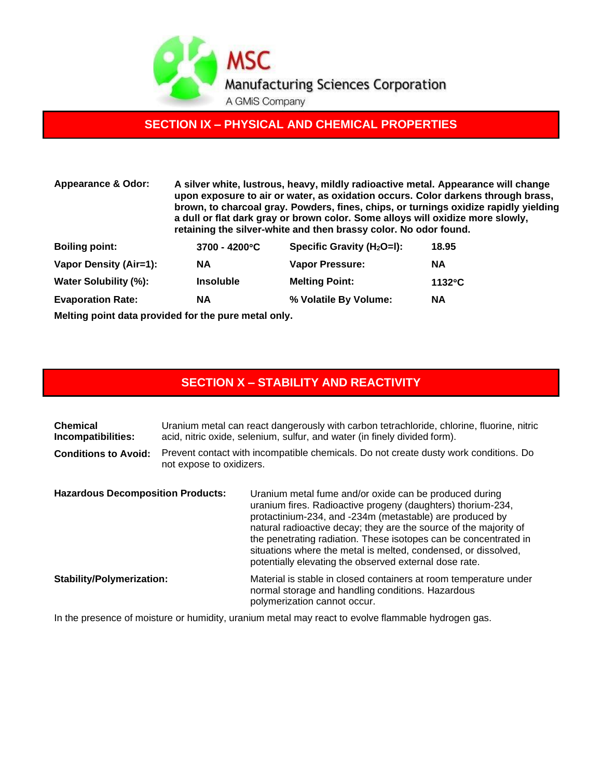

### **SECTION IX – PHYSICAL AND CHEMICAL PROPERTIES**

| <b>Appearance &amp; Odor:</b> | A silver white, lustrous, heavy, mildly radioactive metal. Appearance will change<br>upon exposure to air or water, as oxidation occurs. Color darkens through brass,<br>brown, to charcoal gray. Powders, fines, chips, or turnings oxidize rapidly yielding<br>a dull or flat dark gray or brown color. Some alloys will oxidize more slowly,<br>retaining the silver-white and then brassy color. No odor found. |                               |                  |
|-------------------------------|---------------------------------------------------------------------------------------------------------------------------------------------------------------------------------------------------------------------------------------------------------------------------------------------------------------------------------------------------------------------------------------------------------------------|-------------------------------|------------------|
| <b>Boiling point:</b>         | $3700 - 4200^{\circ}C$                                                                                                                                                                                                                                                                                                                                                                                              | Specific Gravity $(H_2O=I)$ : | 18.95            |
| Vapor Density (Air=1):        | <b>NA</b>                                                                                                                                                                                                                                                                                                                                                                                                           | <b>Vapor Pressure:</b>        | <b>NA</b>        |
| Water Solubility (%):         | <b>Insoluble</b>                                                                                                                                                                                                                                                                                                                                                                                                    | <b>Melting Point:</b>         | $1132^{\circ}$ C |
| <b>Evaporation Rate:</b>      | NА                                                                                                                                                                                                                                                                                                                                                                                                                  | % Volatile By Volume:         | <b>NA</b>        |

**Melting point data provided for the pure metal only.**

#### **SECTION X – STABILITY AND REACTIVITY**

| <b>Chemical</b><br>Incompatibilities:    | Uranium metal can react dangerously with carbon tetrachloride, chlorine, fluorine, nitric<br>acid, nitric oxide, selenium, sulfur, and water (in finely divided form). |                                                                                                                                                                                                                                                                                                                                                                                                                                                        |
|------------------------------------------|------------------------------------------------------------------------------------------------------------------------------------------------------------------------|--------------------------------------------------------------------------------------------------------------------------------------------------------------------------------------------------------------------------------------------------------------------------------------------------------------------------------------------------------------------------------------------------------------------------------------------------------|
| <b>Conditions to Avoid:</b>              | Prevent contact with incompatible chemicals. Do not create dusty work conditions. Do<br>not expose to oxidizers.                                                       |                                                                                                                                                                                                                                                                                                                                                                                                                                                        |
| <b>Hazardous Decomposition Products:</b> |                                                                                                                                                                        | Uranium metal fume and/or oxide can be produced during<br>uranium fires. Radioactive progeny (daughters) thorium-234,<br>protactinium-234, and -234m (metastable) are produced by<br>natural radioactive decay; they are the source of the majority of<br>the penetrating radiation. These isotopes can be concentrated in<br>situations where the metal is melted, condensed, or dissolved,<br>potentially elevating the observed external dose rate. |
| <b>Stability/Polymerization:</b>         |                                                                                                                                                                        | Material is stable in closed containers at room temperature under<br>normal storage and handling conditions. Hazardous<br>polymerization cannot occur.                                                                                                                                                                                                                                                                                                 |

In the presence of moisture or humidity, uranium metal may react to evolve flammable hydrogen gas.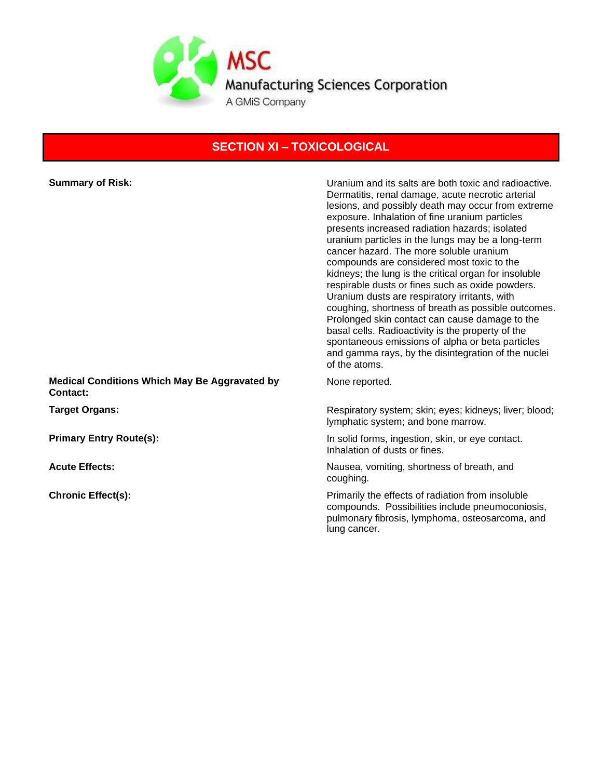

# **SECTION XI – TOXICOLOGICAL**

| <b>Summary of Risk:</b>                                          | Uranium and its salts are both toxic and radioactive.<br>Dermatitis, renal damage, acute necrotic arterial<br>lesions, and possibly death may occur from extreme<br>exposure. Inhalation of fine uranium particles<br>presents increased radiation hazards; isolated<br>uranium particles in the lungs may be a long-term<br>cancer hazard. The more soluble uranium<br>compounds are considered most toxic to the<br>kidneys; the lung is the critical organ for insoluble<br>respirable dusts or fines such as oxide powders.<br>Uranium dusts are respiratory irritants, with<br>coughing, shortness of breath as possible outcomes.<br>Prolonged skin contact can cause damage to the<br>basal cells. Radioactivity is the property of the<br>spontaneous emissions of alpha or beta particles<br>and gamma rays, by the disintegration of the nuclei<br>of the atoms. |
|------------------------------------------------------------------|----------------------------------------------------------------------------------------------------------------------------------------------------------------------------------------------------------------------------------------------------------------------------------------------------------------------------------------------------------------------------------------------------------------------------------------------------------------------------------------------------------------------------------------------------------------------------------------------------------------------------------------------------------------------------------------------------------------------------------------------------------------------------------------------------------------------------------------------------------------------------|
| <b>Medical Conditions Which May Be Aggravated by</b><br>Contact: | None reported.                                                                                                                                                                                                                                                                                                                                                                                                                                                                                                                                                                                                                                                                                                                                                                                                                                                             |
| <b>Target Organs:</b>                                            | Respiratory system; skin; eyes; kidneys; liver; blood;<br>lymphatic system; and bone marrow.                                                                                                                                                                                                                                                                                                                                                                                                                                                                                                                                                                                                                                                                                                                                                                               |
| <b>Primary Entry Route(s):</b>                                   | In solid forms, ingestion, skin, or eye contact.<br>Inhalation of dusts or fines.                                                                                                                                                                                                                                                                                                                                                                                                                                                                                                                                                                                                                                                                                                                                                                                          |
| <b>Acute Effects:</b>                                            | Nausea, vomiting, shortness of breath, and<br>coughing.                                                                                                                                                                                                                                                                                                                                                                                                                                                                                                                                                                                                                                                                                                                                                                                                                    |
| <b>Chronic Effect(s):</b>                                        | Primarily the effects of radiation from insoluble<br>compounds. Possibilities include pneumoconiosis,<br>pulmonary fibrosis, lymphoma, osteosarcoma, and<br>lung cancer.                                                                                                                                                                                                                                                                                                                                                                                                                                                                                                                                                                                                                                                                                                   |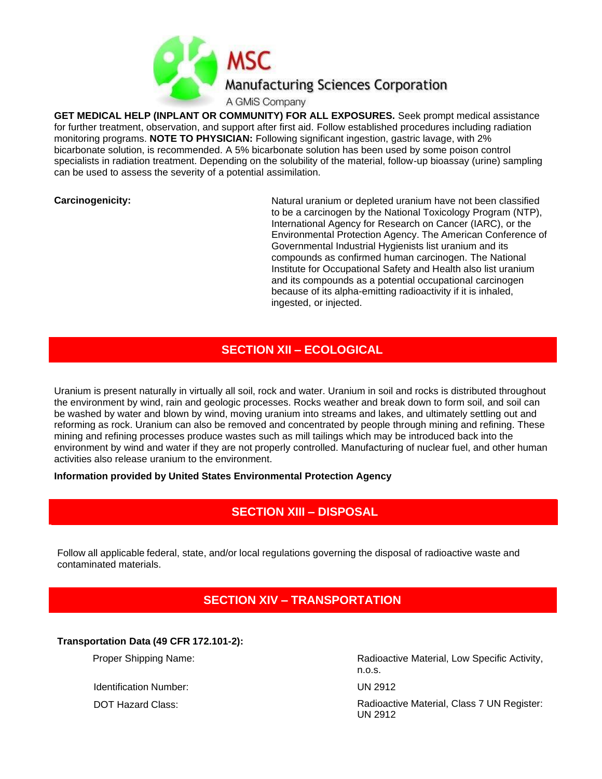

**GET MEDICAL HELP (INPLANT OR COMMUNITY) FOR ALL EXPOSURES.** Seek prompt medical assistance for further treatment, observation, and support after first aid. Follow established procedures including radiation monitoring programs. **NOTE TO PHYSICIAN:** Following significant ingestion, gastric lavage, with 2% bicarbonate solution, is recommended. A 5% bicarbonate solution has been used by some poison control specialists in radiation treatment. Depending on the solubility of the material, follow-up bioassay (urine) sampling can be used to assess the severity of a potential assimilation.

**Carcinogenicity:** Natural uranium or depleted uranium have not been classified to be a carcinogen by the National Toxicology Program (NTP), International Agency for Research on Cancer (IARC), or the Environmental Protection Agency. The American Conference of Governmental Industrial Hygienists list uranium and its compounds as confirmed human carcinogen. The National Institute for Occupational Safety and Health also list uranium and its compounds as a potential occupational carcinogen because of its alpha-emitting radioactivity if it is inhaled, ingested, or injected.

#### **SECTION XII – ECOLOGICAL**

Uranium is present naturally in virtually all soil, rock and water. Uranium in soil and rocks is distributed throughout the environment by wind, rain and geologic processes. Rocks weather and break down to form soil, and soil can be washed by water and blown by wind, moving uranium into streams and lakes, and ultimately settling out and reforming as rock. Uranium can also be removed and concentrated by people through mining and refining. These mining and refining processes produce wastes such as mill tailings which may be introduced back into the environment by wind and water if they are not properly controlled. Manufacturing of nuclear fuel, and other human activities also release uranium to the environment.

**Information provided by United States Environmental Protection Agency**

# **SECTION XIII – DISPOSAL**

Follow all applicable federal, state, and/or local regulations governing the disposal of radioactive waste and contaminated materials.

#### **SECTION XIV – TRANSPORTATION**

**Transportation Data (49 CFR 172.101-2):**

Identification Number: UN 2912

Proper Shipping Name: The Contract of Radioactive Material, Low Specific Activity, n.o.s.

DOT Hazard Class: Contract Class: Radioactive Material, Class 7 UN Register: UN 2912